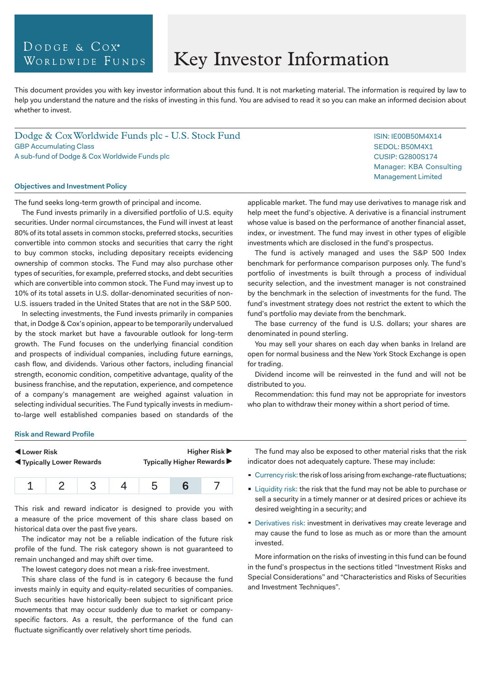# DODGE & COX<sup>®</sup> WORLDWIDE FUNDS

# Key Investor Information

This document provides you with key investor information about this fund. It is not marketing material. The information is required by law to help you understand the nature and the risks of investing in this fund. You are advised to read it so you can make an informed decision about whether to invest.

Dodge & Cox Worldwide Funds plc - U.S. Stock Fund GBP Accumulating Class A sub-fund of Dodge & Cox Worldwide Funds plc

#### **Objectives and Investment Policy**

The fund seeks long-term growth of principal and income.

The Fund invests primarily in a diversified portfolio of U.S. equity securities. Under normal circumstances, the Fund will invest at least 80% of its total assets in common stocks, preferred stocks, securities convertible into common stocks and securities that carry the right to buy common stocks, including depositary receipts evidencing ownership of common stocks. The Fund may also purchase other types of securities, for example, preferred stocks, and debt securities which are convertible into common stock. The Fund may invest up to 10% of its total assets in U.S. dollar-denominated securities of non-U.S. issuers traded in the United States that are not in the S&P 500.

In selecting investments, the Fund invests primarily in companies that, in Dodge & Cox's opinion, appear to be temporarily undervalued by the stock market but have a favourable outlook for long-term growth. The Fund focuses on the underlying financial condition and prospects of individual companies, including future earnings, cash flow, and dividends. Various other factors, including financial strength, economic condition, competitive advantage, quality of the business franchise, and the reputation, experience, and competence of a company's management are weighed against valuation in selecting individual securities. The Fund typically invests in mediumto-large well established companies based on standards of the

applicable market. The fund may use derivatives to manage risk and help meet the fund's objective. A derivative is a financial instrument whose value is based on the performance of another financial asset, index, or investment. The fund may invest in other types of eligible investments which are disclosed in the fund's prospectus.

The fund is actively managed and uses the S&P 500 Index benchmark for performance comparison purposes only. The fund's portfolio of investments is built through a process of individual security selection, and the investment manager is not constrained by the benchmark in the selection of investments for the fund. The fund's investment strategy does not restrict the extent to which the fund's portfolio may deviate from the benchmark.

The base currency of the fund is U.S. dollars; your shares are denominated in pound sterling.

You may sell your shares on each day when banks in Ireland are open for normal business and the New York Stock Exchange is open for trading.

Dividend income will be reinvested in the fund and will not be distributed to you.

Recommendation: this fund may not be appropriate for investors who plan to withdraw their money within a short period of time.

#### **Risk and Reward Profile**

| Lower Risk                     | Higher Risk $\blacktriangleright$ |
|--------------------------------|-----------------------------------|
| <b>Typically Lower Rewards</b> | Typically Higher Rewards ▶        |
|                                |                                   |

1 2 3 4 5 **6** 7 This risk and reward indicator is designed to provide you with

a measure of the price movement of this share class based on historical data over the past five years.

The indicator may not be a reliable indication of the future risk profile of the fund. The risk category shown is not guaranteed to remain unchanged and may shift over time.

The lowest category does not mean a risk-free investment.

This share class of the fund is in category 6 because the fund invests mainly in equity and equity-related securities of companies. Such securities have historically been subject to significant price movements that may occur suddenly due to market or companyspecific factors. As a result, the performance of the fund can fluctuate significantly over relatively short time periods.

The fund may also be exposed to other material risks that the risk indicator does not adequately capture. These may include:

- Currency risk: the risk of loss arising from exchange-rate fluctuations;
- **Example 1** Liquidity risk: the risk that the fund may not be able to purchase or sell a security in a timely manner or at desired prices or achieve its desired weighting in a security; and
- **Derivatives risk: investment in derivatives may create leverage and** may cause the fund to lose as much as or more than the amount invested.

More information on the risks of investing in this fund can be found in the fund's prospectus in the sections titled "Investment Risks and Special Considerations" and "Characteristics and Risks of Securities and Investment Techniques".

ISIN: IE00B50M4X14 SEDOL: B50M4X1 CUSIP: G2800S174 Manager: KBA Consulting Management Limited